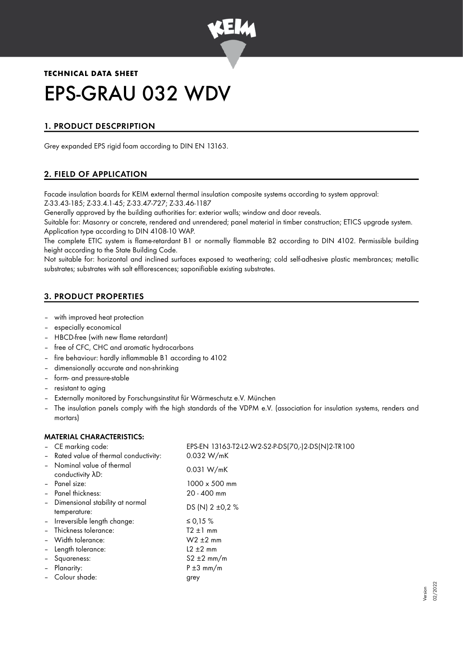

# **TECHNICAL DATA SHEET** EPS-GRAU 032 WDV

# 1. PRODUCT DESCPRIPTION

Grey expanded EPS rigid foam according to DIN EN 13163.

# 2. FIELD OF APPLICATION

Facade insulation boards for KEIM external thermal insulation composite systems according to system approval: Z-33.43-185; Z-33.4.1-45; Z-33.47-727; Z-33.46-1187

Generally approved by the building authorities for: exterior walls; window and door reveals.

Suitable for: Masonry or concrete, rendered and unrendered; panel material in timber construction; ETICS upgrade system. Application type according to DIN 4108-10 WAP.

The complete ETIC system is flame-retardant B1 or normally flammable B2 according to DIN 4102. Permissible building height according to the State Building Code.

Not suitable for: horizontal and inclined surfaces exposed to weathering; cold self-adhesive plastic membrances; metallic substrates; substrates with salt efflorescences; saponifiable existing substrates.

# 3. PRODUCT PROPERTIES

- with improved heat protection
- especially economical
- HBCD-free (with new flame retardant)
- free of CFC, CHC and aromatic hydrocarbons
- fire behaviour: hardly inflammable B1 according to 4102
- dimensionally accurate and non-shrinking
- form- and pressure-stable
- resistant to aging
- Externally monitored by Forschungsinstitut für Wärmeschutz e.V. München
- The insulation panels comply with the high standards of the VDPM e.V. (association for insulation systems, renders and mortars)

## MATERIAL CHARACTERISTICS:

| - CE marking code:                                       | EPS-EN 13163-T2-L2-W2-S2-P-DS(70,-)2-DS(N)2-TR100 |
|----------------------------------------------------------|---------------------------------------------------|
| - Rated value of thermal conductivity:                   | 0.032 W/mK                                        |
| - Nominal value of thermal<br>conductivity $\lambda D$ : | 0.031 W/mK                                        |
| - Panel size:                                            | $1000 \times 500$ mm                              |
| - Panel thickness:                                       | $20 - 400$ mm                                     |
| - Dimensional stability at normal                        | DS (N) 2 ±0,2 %                                   |
| temperature:                                             |                                                   |
| - Irreversible length change:                            | ≤ 0,15 %                                          |
| - Thickness tolerance:                                   | $T2 \pm 1$ mm                                     |
| - Width tolerance:                                       | $W2 \pm 2$ mm                                     |
| - Length tolerance:                                      | $L2 \pm 2$ mm                                     |
| - Squareness:                                            | $S2 \pm 2$ mm/m                                   |
| - Planarity:                                             | $P \pm 3$ mm/m                                    |
| - Colour shade:                                          | grey                                              |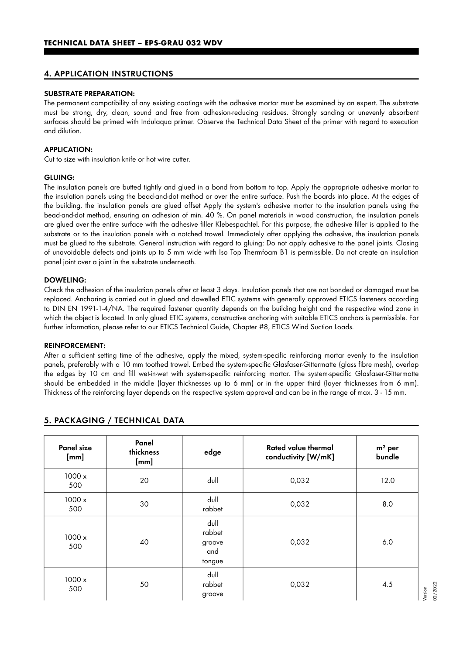#### 4. APPLICATION INSTRUCTIONS

#### SUBSTRATE PREPARATION:

The permanent compatibility of any existing coatings with the adhesive mortar must be examined by an expert. The substrate must be strong, dry, clean, sound and free from adhesion-reducing residues. Strongly sanding or unevenly absorbent surfaces should be primed with Indulaqua primer. Observe the Technical Data Sheet of the primer with regard to execution and dilution.

### APPLICATION:

Cut to size with insulation knife or hot wire cutter.

#### GLUING:

The insulation panels are butted tightly and glued in a bond from bottom to top. Apply the appropriate adhesive mortar to the insulation panels using the bead-and-dot method or over the entire surface. Push the boards into place. At the edges of the building, the insulation panels are glued offset Apply the system's adhesive mortar to the insulation panels using the bead-and-dot method, ensuring an adhesion of min. 40 %. On panel materials in wood construction, the insulation panels are glued over the entire surface with the adhesive filler Klebespachtel. For this purpose, the adhesive filler is applied to the substrate or to the insulation panels with a notched trowel. Immediately after applying the adhesive, the insulation panels must be glued to the substrate. General instruction with regard to gluing: Do not apply adhesive to the panel joints. Closing of unavoidable defects and joints up to 5 mm wide with Iso Top Thermfoam B1 is permissible. Do not create an insulation panel joint over a joint in the substrate underneath.

#### DOWELING:

Check the adhesion of the insulation panels after at least 3 days. Insulation panels that are not bonded or damaged must be replaced. Anchoring is carried out in glued and dowelled ETIC systems with generally approved ETICS fasteners according to DIN EN 1991-1-4/NA. The required fastener quantity depends on the building height and the respective wind zone in which the object is located. In only glued ETIC systems, constructive anchoring with suitable ETICS anchors is permissible. For further information, please refer to our ETICS Technical Guide, Chapter #8, ETICS Wind Suction Loads.

#### REINFORCEMENT:

After a sufficient setting time of the adhesive, apply the mixed, system-specific reinforcing mortar evenly to the insulation panels, preferably with a 10 mm toothed trowel. Embed the system-specific Glasfaser-Gittermatte (glass fibre mesh), overlap the edges by 10 cm and fill wet-in-wet with system-specific reinforcing mortar. The system-specific Glasfaser-Gittermatte should be embedded in the middle (layer thicknesses up to 6 mm) or in the upper third (layer thicknesses from 6 mm). Thickness of the reinforcing layer depends on the respective system approval and can be in the range of max. 3 - 15 mm.

| <b>Panel size</b><br>[mm] | Panel<br>thickness<br>[mm] | edge                                      | <b>Rated value thermal</b><br>conductivity [W/mK] | $m2$ per<br>bundle |
|---------------------------|----------------------------|-------------------------------------------|---------------------------------------------------|--------------------|
| 1000x<br>500              | 20                         | dull                                      | 0,032                                             | 12.0               |
| 1000x<br>500              | 30                         | dull<br>rabbet                            | 0,032                                             | 8.0                |
| $1000 \times$<br>500      | 40                         | dull<br>rabbet<br>groove<br>and<br>tongue | 0,032                                             | 6.0                |
| 1000x<br>500              | 50                         | dull<br>rabbet<br>groove                  | 0,032                                             | 4.5                |

#### 5. PACKAGING / TECHNICAL DATA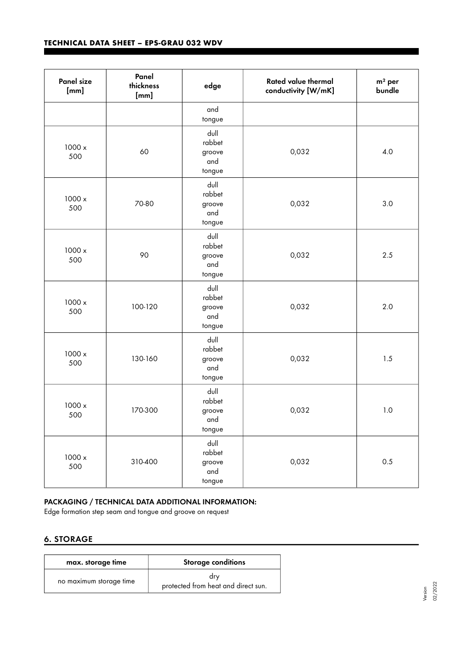## **TECHNICAL DATA SHEET – EPS-GRAU 032 WDV**

| <b>Panel size</b><br>[mm] | Panel<br>thickness<br>[mm] | edge                                      | Rated value thermal<br>conductivity [W/mK] | $m2$ per<br>bundle |
|---------------------------|----------------------------|-------------------------------------------|--------------------------------------------|--------------------|
|                           |                            | and<br>tongue                             |                                            |                    |
| 1000 x<br>500             | 60                         | dull<br>rabbet<br>groove<br>and<br>tongue | 0,032                                      | 4.0                |
| 1000 x<br>500             | 70-80                      | dull<br>rabbet<br>groove<br>and<br>tongue | 0,032                                      | 3.0                |
| 1000 x<br>500             | 90                         | dull<br>rabbet<br>groove<br>and<br>tongue | 0,032                                      | 2.5                |
| 1000 x<br>500             | 100-120                    | dull<br>rabbet<br>groove<br>and<br>tongue | 0,032                                      | 2.0                |
| 1000 x<br>500             | 130-160                    | dull<br>rabbet<br>groove<br>and<br>tongue | 0,032                                      | 1.5                |
| 1000 x<br>500             | 170-300                    | dull<br>rabbet<br>groove<br>and<br>tongue | 0,032                                      | 1.0                |
| 1000 x<br>500             | 310-400                    | dull<br>rabbet<br>groove<br>and<br>tongue | 0,032                                      | 0.5                |

# PACKAGING / TECHNICAL DATA ADDITIONAL INFORMATION:

Edge formation step seam and tongue and groove on request

## 6. STORAGE

| max. storage time       | <b>Storage conditions</b>                  |
|-------------------------|--------------------------------------------|
| no maximum storage time | drv<br>protected from heat and direct sun. |

Version 02/2022